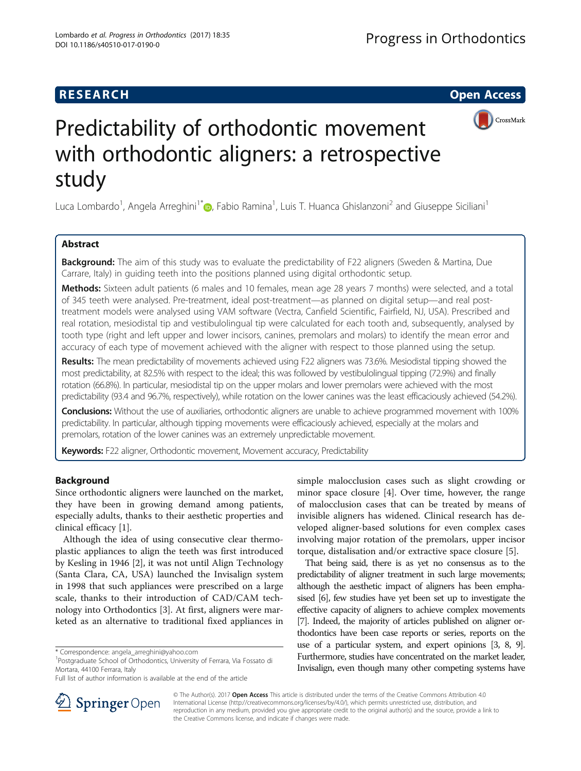## **RESEARCH CHE Open Access**



# Predictability of orthodontic movement with orthodontic aligners: a retrospective study

Luca Lombardo<sup>1</sup>, Angela Arreghini<sup>1\*</sup>®, Fabio Ramina<sup>1</sup>, Luis T. Huanca Ghislanzoni<sup>2</sup> and Giuseppe Siciliani<sup>1</sup>

## Abstract

**Background:** The aim of this study was to evaluate the predictability of F22 aligners (Sweden & Martina, Due Carrare, Italy) in guiding teeth into the positions planned using digital orthodontic setup.

Methods: Sixteen adult patients (6 males and 10 females, mean age 28 years 7 months) were selected, and a total of 345 teeth were analysed. Pre-treatment, ideal post-treatment—as planned on digital setup—and real posttreatment models were analysed using VAM software (Vectra, Canfield Scientific, Fairfield, NJ, USA). Prescribed and real rotation, mesiodistal tip and vestibulolingual tip were calculated for each tooth and, subsequently, analysed by tooth type (right and left upper and lower incisors, canines, premolars and molars) to identify the mean error and accuracy of each type of movement achieved with the aligner with respect to those planned using the setup.

Results: The mean predictability of movements achieved using F22 aligners was 73.6%. Mesiodistal tipping showed the most predictability, at 82.5% with respect to the ideal; this was followed by vestibulolingual tipping (72.9%) and finally rotation (66.8%). In particular, mesiodistal tip on the upper molars and lower premolars were achieved with the most predictability (93.4 and 96.7%, respectively), while rotation on the lower canines was the least efficaciously achieved (54.2%).

Conclusions: Without the use of auxiliaries, orthodontic aligners are unable to achieve programmed movement with 100% predictability. In particular, although tipping movements were efficaciously achieved, especially at the molars and premolars, rotation of the lower canines was an extremely unpredictable movement.

Keywords: F22 aligner, Orthodontic movement, Movement accuracy, Predictability

## Background

Since orthodontic aligners were launched on the market, they have been in growing demand among patients, especially adults, thanks to their aesthetic properties and clinical efficacy [[1\]](#page-11-0).

Although the idea of using consecutive clear thermoplastic appliances to align the teeth was first introduced by Kesling in 1946 [[2\]](#page-11-0), it was not until Align Technology (Santa Clara, CA, USA) launched the Invisalign system in 1998 that such appliances were prescribed on a large scale, thanks to their introduction of CAD/CAM technology into Orthodontics [[3\]](#page-11-0). At first, aligners were marketed as an alternative to traditional fixed appliances in

<sup>1</sup>Postgraduate School of Orthodontics, University of Ferrara, Via Fossato di Mortara, 44100 Ferrara, Italy

simple malocclusion cases such as slight crowding or minor space closure [\[4](#page-11-0)]. Over time, however, the range of malocclusion cases that can be treated by means of invisible aligners has widened. Clinical research has developed aligner-based solutions for even complex cases involving major rotation of the premolars, upper incisor torque, distalisation and/or extractive space closure [[5\]](#page-11-0).

That being said, there is as yet no consensus as to the predictability of aligner treatment in such large movements; although the aesthetic impact of aligners has been emphasised [\[6\]](#page-11-0), few studies have yet been set up to investigate the effective capacity of aligners to achieve complex movements [[7](#page-11-0)]. Indeed, the majority of articles published on aligner orthodontics have been case reports or series, reports on the use of a particular system, and expert opinions [\[3, 8](#page-11-0), [9\]](#page-11-0). Furthermore, studies have concentrated on the market leader, Invisalign, even though many other competing systems have



© The Author(s). 2017 Open Access This article is distributed under the terms of the Creative Commons Attribution 4.0 International License ([http://creativecommons.org/licenses/by/4.0/\)](http://creativecommons.org/licenses/by/4.0/), which permits unrestricted use, distribution, and reproduction in any medium, provided you give appropriate credit to the original author(s) and the source, provide a link to the Creative Commons license, and indicate if changes were made.

<sup>\*</sup> Correspondence: [angela\\_arreghini@yahoo.com](mailto:angela_arreghini@yahoo.com) <sup>1</sup>

Full list of author information is available at the end of the article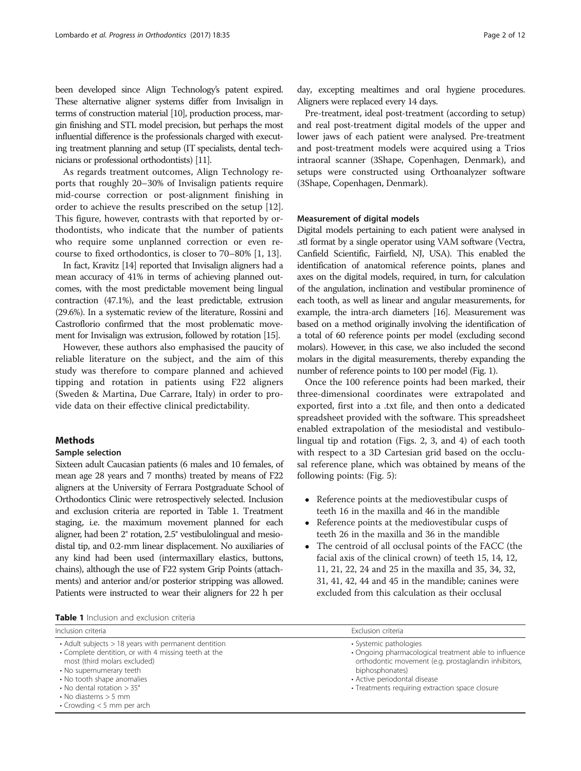been developed since Align Technology's patent expired. These alternative aligner systems differ from Invisalign in terms of construction material [\[10\]](#page-11-0), production process, margin finishing and STL model precision, but perhaps the most influential difference is the professionals charged with executing treatment planning and setup (IT specialists, dental technicians or professional orthodontists) [\[11](#page-11-0)].

As regards treatment outcomes, Align Technology reports that roughly 20–30% of Invisalign patients require mid-course correction or post-alignment finishing in order to achieve the results prescribed on the setup [\[12](#page-11-0)]. This figure, however, contrasts with that reported by orthodontists, who indicate that the number of patients who require some unplanned correction or even recourse to fixed orthodontics, is closer to 70–80% [[1](#page-11-0), [13](#page-11-0)].

In fact, Kravitz [\[14](#page-11-0)] reported that Invisalign aligners had a mean accuracy of 41% in terms of achieving planned outcomes, with the most predictable movement being lingual contraction (47.1%), and the least predictable, extrusion (29.6%). In a systematic review of the literature, Rossini and Castroflorio confirmed that the most problematic movement for Invisalign was extrusion, followed by rotation [\[15](#page-11-0)].

However, these authors also emphasised the paucity of reliable literature on the subject, and the aim of this study was therefore to compare planned and achieved tipping and rotation in patients using F22 aligners (Sweden & Martina, Due Carrare, Italy) in order to provide data on their effective clinical predictability.

## **Methods**

#### Sample selection

Sixteen adult Caucasian patients (6 males and 10 females, of mean age 28 years and 7 months) treated by means of F22 aligners at the University of Ferrara Postgraduate School of Orthodontics Clinic were retrospectively selected. Inclusion and exclusion criteria are reported in Table 1. Treatment staging, i.e. the maximum movement planned for each aligner, had been 2° rotation, 2.5° vestibulolingual and mesiodistal tip, and 0.2-mm linear displacement. No auxiliaries of any kind had been used (intermaxillary elastics, buttons, chains), although the use of F22 system Grip Points (attachments) and anterior and/or posterior stripping was allowed. Patients were instructed to wear their aligners for 22 h per

Table 1 Inclusion and exclusion criteria

day, excepting mealtimes and oral hygiene procedures. Aligners were replaced every 14 days.

Pre-treatment, ideal post-treatment (according to setup) and real post-treatment digital models of the upper and lower jaws of each patient were analysed. Pre-treatment and post-treatment models were acquired using a Trios intraoral scanner (3Shape, Copenhagen, Denmark), and setups were constructed using Orthoanalyzer software (3Shape, Copenhagen, Denmark).

## Measurement of digital models

Digital models pertaining to each patient were analysed in .stl format by a single operator using VAM software (Vectra, Canfield Scientific, Fairfield, NJ, USA). This enabled the identification of anatomical reference points, planes and axes on the digital models, required, in turn, for calculation of the angulation, inclination and vestibular prominence of each tooth, as well as linear and angular measurements, for example, the intra-arch diameters [\[16\]](#page-11-0). Measurement was based on a method originally involving the identification of a total of 60 reference points per model (excluding second molars). However, in this case, we also included the second molars in the digital measurements, thereby expanding the number of reference points to 100 per model (Fig. [1](#page-2-0)).

Once the 100 reference points had been marked, their three-dimensional coordinates were extrapolated and exported, first into a .txt file, and then onto a dedicated spreadsheet provided with the software. This spreadsheet enabled extrapolation of the mesiodistal and vestibulolingual tip and rotation (Figs. [2, 3](#page-2-0), and [4\)](#page-3-0) of each tooth with respect to a 3D Cartesian grid based on the occlusal reference plane, which was obtained by means of the following points: (Fig. [5](#page-3-0)):

- Reference points at the mediovestibular cusps of teeth 16 in the maxilla and 46 in the mandible
- Reference points at the mediovestibular cusps of teeth 26 in the maxilla and 36 in the mandible
- The centroid of all occlusal points of the FACC (the facial axis of the clinical crown) of teeth 15, 14, 12, 11, 21, 22, 24 and 25 in the maxilla and 35, 34, 32, 31, 41, 42, 44 and 45 in the mandible; canines were excluded from this calculation as their occlusal

| Inclusion criteria                                                                                                                                                                                                                                                                                                                 | Exclusion criteria                                                                                                                                                                                                                            |
|------------------------------------------------------------------------------------------------------------------------------------------------------------------------------------------------------------------------------------------------------------------------------------------------------------------------------------|-----------------------------------------------------------------------------------------------------------------------------------------------------------------------------------------------------------------------------------------------|
| $\cdot$ Adult subjects $>$ 18 years with permanent dentition<br>• Complete dentition, or with 4 missing teeth at the<br>most (third molars excluded)<br>• No supernumerary teeth<br>• No tooth shape anomalies<br>$\cdot$ No dental rotation $>$ 35 $^{\circ}$<br>$\cdot$ No diastems $>$ 5 mm<br>$\cdot$ Crowding < 5 mm per arch | • Systemic pathologies<br>• Ongoing pharmacological treatment able to influence<br>orthodontic movement (e.g. prostaglandin inhibitors,<br>biphosphonates)<br>• Active periodontal disease<br>• Treatments requiring extraction space closure |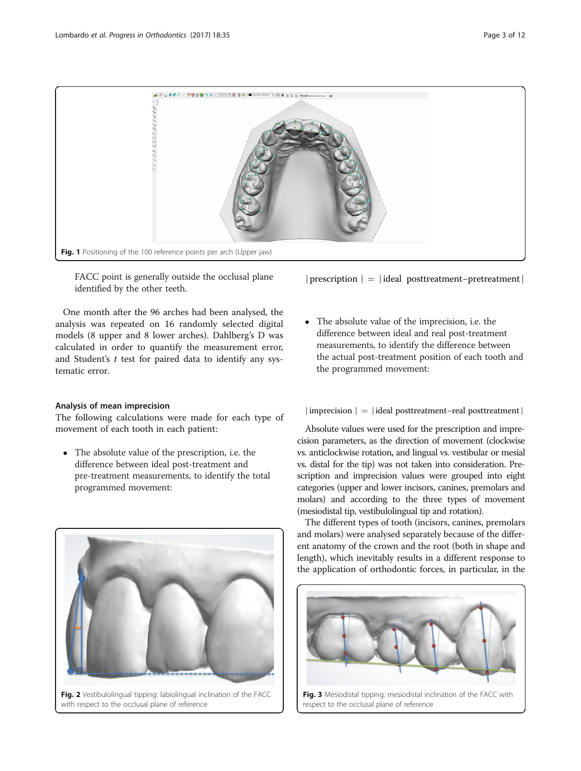<span id="page-2-0"></span>

FACC point is generally outside the occlusal plane identified by the other teeth.

One month after the 96 arches had been analysed, the analysis was repeated on 16 randomly selected digital models (8 upper and 8 lower arches). Dahlberg's D was calculated in order to quantify the measurement error, and Student's  $t$  test for paired data to identify any systematic error.

## Analysis of mean imprecision

The following calculations were made for each type of movement of each tooth in each patient:

 The absolute value of the prescription, i.e. the difference between ideal post-treatment and pre-treatment measurements, to identify the total programmed movement:



∣prescription ∣ ¼ ∣ideal posttreatment−pretreatment∣

 The absolute value of the imprecision, i.e. the difference between ideal and real post-treatment measurements, to identify the difference between the actual post-treatment position of each tooth and the programmed movement:

## ∣imprecision ∣ ¼ ∣ideal posttreatment−real posttreatment∣

Absolute values were used for the prescription and imprecision parameters, as the direction of movement (clockwise vs. anticlockwise rotation, and lingual vs. vestibular or mesial vs. distal for the tip) was not taken into consideration. Prescription and imprecision values were grouped into eight categories (upper and lower incisors, canines, premolars and molars) and according to the three types of movement (mesiodistal tip, vestibulolingual tip and rotation).

The different types of tooth (incisors, canines, premolars and molars) were analysed separately because of the different anatomy of the crown and the root (both in shape and length), which inevitably results in a different response to the application of orthodontic forces, in particular, in the

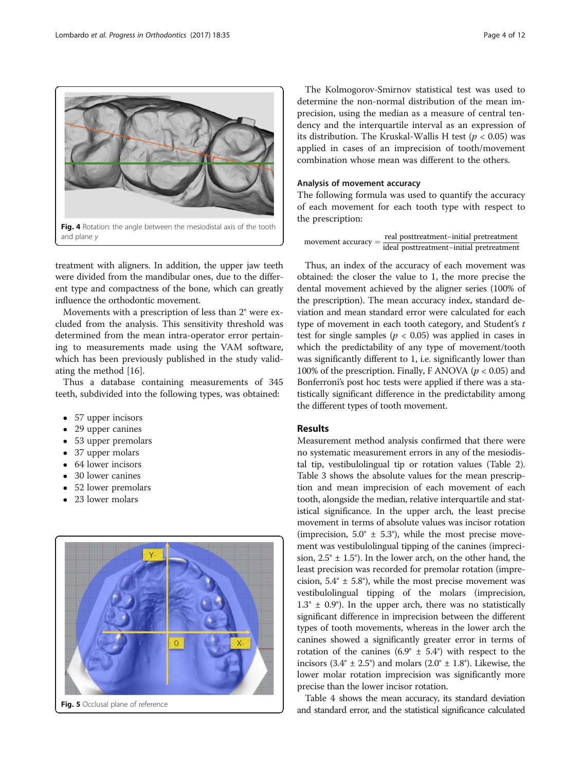<span id="page-3-0"></span>

treatment with aligners. In addition, the upper jaw teeth were divided from the mandibular ones, due to the different type and compactness of the bone, which can greatly influence the orthodontic movement.

Movements with a prescription of less than 2° were excluded from the analysis. This sensitivity threshold was determined from the mean intra-operator error pertaining to measurements made using the VAM software, which has been previously published in the study validating the method [\[16](#page-11-0)].

Thus a database containing measurements of 345 teeth, subdivided into the following types, was obtained:

- 57 upper incisors
- 29 upper canines
- 53 upper premolars
- 37 upper molars
- 64 lower incisors
- 30 lower canines
- 52 lower premolars
- 23 lower molars



The Kolmogorov-Smirnov statistical test was used to determine the non-normal distribution of the mean imprecision, using the median as a measure of central tendency and the interquartile interval as an expression of its distribution. The Kruskal-Wallis H test ( $p < 0.05$ ) was applied in cases of an imprecision of tooth/movement combination whose mean was different to the others.

## Analysis of movement accuracy

The following formula was used to quantify the accuracy of each movement for each tooth type with respect to the prescription:

| real posttreatment-initial pretreatment                                                                 |
|---------------------------------------------------------------------------------------------------------|
| novement accuracy $=$ $\frac{1}{\text{ideal posttreatment} - \text{initial} \text{ pretreatment}^{-1}}$ |

Thus, an index of the accuracy of each movement was obtained: the closer the value to 1, the more precise the dental movement achieved by the aligner series (100% of the prescription). The mean accuracy index, standard deviation and mean standard error were calculated for each type of movement in each tooth category, and Student's  $t$ test for single samples ( $p < 0.05$ ) was applied in cases in which the predictability of any type of movement/tooth was significantly different to 1, i.e. significantly lower than 100% of the prescription. Finally, F ANOVA ( $p < 0.05$ ) and Bonferroni's post hoc tests were applied if there was a statistically significant difference in the predictability among the different types of tooth movement.

#### Results

Measurement method analysis confirmed that there were no systematic measurement errors in any of the mesiodistal tip, vestibulolingual tip or rotation values (Table [2](#page-4-0)). Table [3](#page-5-0) shows the absolute values for the mean prescription and mean imprecision of each movement of each tooth, alongside the median, relative interquartile and statistical significance. In the upper arch, the least precise movement in terms of absolute values was incisor rotation (imprecision,  $5.0^{\circ} \pm 5.3^{\circ}$ ), while the most precise movement was vestibulolingual tipping of the canines (imprecision,  $2.5^{\circ} \pm 1.5^{\circ}$ ). In the lower arch, on the other hand, the least precision was recorded for premolar rotation (imprecision,  $5.4^{\circ} \pm 5.8^{\circ}$ ), while the most precise movement was vestibulolingual tipping of the molars (imprecision,  $1.3^\circ \pm 0.9^\circ$ ). In the upper arch, there was no statistically significant difference in imprecision between the different types of tooth movements, whereas in the lower arch the canines showed a significantly greater error in terms of rotation of the canines  $(6.9^\circ \pm 5.4^\circ)$  with respect to the incisors  $(3.4^{\circ} \pm 2.5^{\circ})$  and molars  $(2.0^{\circ} \pm 1.8^{\circ})$ . Likewise, the lower molar rotation imprecision was significantly more precise than the lower incisor rotation.

Table [4](#page-6-0) shows the mean accuracy, its standard deviation and standard error, and the statistical significance calculated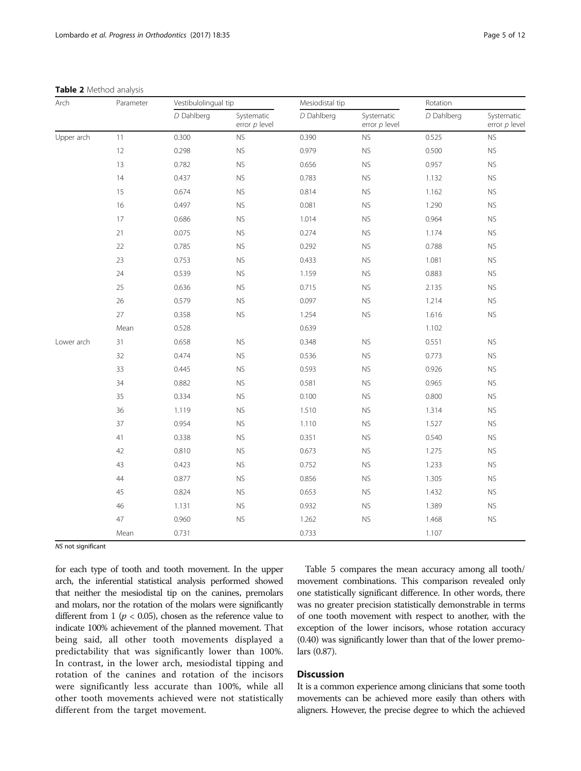#### <span id="page-4-0"></span>Table 2 Method analysis

| Arch       | Parameter | Vestibulolingual tip |                             | Mesiodistal tip |                             | Rotation   |                               |
|------------|-----------|----------------------|-----------------------------|-----------------|-----------------------------|------------|-------------------------------|
|            |           | D Dahlberg           | Systematic<br>error p level | D Dahlberg      | Systematic<br>error p level | D Dahlberg | Systematic<br>error $p$ level |
| Upper arch | 11        | 0.300                | <b>NS</b>                   | 0.390           | <b>NS</b>                   | 0.525      | ${\sf NS}$                    |
|            | 12        | 0.298                | <b>NS</b>                   | 0.979           | <b>NS</b>                   | 0.500      | <b>NS</b>                     |
|            | 13        | 0.782                | <b>NS</b>                   | 0.656           | <b>NS</b>                   | 0.957      | <b>NS</b>                     |
|            | 14        | 0.437                | ${\sf NS}$                  | 0.783           | ${\sf NS}$                  | 1.132      | ${\sf NS}$                    |
|            | 15        | 0.674                | <b>NS</b>                   | 0.814           | <b>NS</b>                   | 1.162      | <b>NS</b>                     |
|            | 16        | 0.497                | <b>NS</b>                   | 0.081           | <b>NS</b>                   | 1.290      | <b>NS</b>                     |
|            | 17        | 0.686                | ${\sf NS}$                  | 1.014           | <b>NS</b>                   | 0.964      | <b>NS</b>                     |
|            | 21        | 0.075                | <b>NS</b>                   | 0.274           | <b>NS</b>                   | 1.174      | <b>NS</b>                     |
|            | 22        | 0.785                | ${\sf NS}$                  | 0.292           | ${\sf NS}$                  | 0.788      | ${\sf NS}$                    |
|            | 23        | 0.753                | <b>NS</b>                   | 0.433           | <b>NS</b>                   | 1.081      | ${\sf NS}$                    |
|            | 24        | 0.539                | <b>NS</b>                   | 1.159           | <b>NS</b>                   | 0.883      | <b>NS</b>                     |
|            | 25        | 0.636                | ${\sf NS}$                  | 0.715           | <b>NS</b>                   | 2.135      | ${\sf NS}$                    |
|            | 26        | 0.579                | <b>NS</b>                   | 0.097           | <b>NS</b>                   | 1.214      | ${\sf NS}$                    |
|            | 27        | 0.358                | <b>NS</b>                   | 1.254           | <b>NS</b>                   | 1.616      | ${\sf NS}$                    |
|            | Mean      | 0.528                |                             | 0.639           |                             | 1.102      |                               |
| Lower arch | 31        | 0.658                | <b>NS</b>                   | 0.348           | <b>NS</b>                   | 0.551      | <b>NS</b>                     |
|            | 32        | 0.474                | <b>NS</b>                   | 0.536           | <b>NS</b>                   | 0.773      | <b>NS</b>                     |
|            | 33        | 0.445                | <b>NS</b>                   | 0.593           | <b>NS</b>                   | 0.926      | ${\sf NS}$                    |
|            | 34        | 0.882                | <b>NS</b>                   | 0.581           | <b>NS</b>                   | 0.965      | <b>NS</b>                     |
|            | 35        | 0.334                | ${\sf NS}$                  | 0.100           | ${\sf NS}$                  | 0.800      | <b>NS</b>                     |
|            | 36        | 1.119                | <b>NS</b>                   | 1.510           | <b>NS</b>                   | 1.314      | <b>NS</b>                     |
|            | 37        | 0.954                | <b>NS</b>                   | 1.110           | <b>NS</b>                   | 1.527      | <b>NS</b>                     |
|            | 41        | 0.338                | <b>NS</b>                   | 0.351           | <b>NS</b>                   | 0.540      | ${\sf NS}$                    |
|            | 42        | 0.810                | <b>NS</b>                   | 0.673           | <b>NS</b>                   | 1.275      | ${\sf NS}$                    |
|            | 43        | 0.423                | <b>NS</b>                   | 0.752           | <b>NS</b>                   | 1.233      | <b>NS</b>                     |
|            | 44        | 0.877                | <b>NS</b>                   | 0.856           | ${\sf NS}$                  | 1.305      | <b>NS</b>                     |
|            | 45        | 0.824                | <b>NS</b>                   | 0.653           | ${\sf NS}$                  | 1.432      | <b>NS</b>                     |
|            | 46        | 1.131                | ${\sf NS}$                  | 0.932           | ${\sf NS}$                  | 1.389      | <b>NS</b>                     |
|            | 47        | 0.960                | <b>NS</b>                   | 1.262           | <b>NS</b>                   | 1.468      | <b>NS</b>                     |
|            | Mean      | 0.731                |                             | 0.733           |                             | 1.107      |                               |

NS not significant

for each type of tooth and tooth movement. In the upper arch, the inferential statistical analysis performed showed that neither the mesiodistal tip on the canines, premolars and molars, nor the rotation of the molars were significantly different from 1 ( $p < 0.05$ ), chosen as the reference value to indicate 100% achievement of the planned movement. That being said, all other tooth movements displayed a predictability that was significantly lower than 100%. In contrast, in the lower arch, mesiodistal tipping and rotation of the canines and rotation of the incisors were significantly less accurate than 100%, while all other tooth movements achieved were not statistically different from the target movement.

Table [5](#page-7-0) compares the mean accuracy among all tooth/ movement combinations. This comparison revealed only one statistically significant difference. In other words, there was no greater precision statistically demonstrable in terms of one tooth movement with respect to another, with the exception of the lower incisors, whose rotation accuracy (0.40) was significantly lower than that of the lower premolars (0.87).

## **Discussion**

It is a common experience among clinicians that some tooth movements can be achieved more easily than others with aligners. However, the precise degree to which the achieved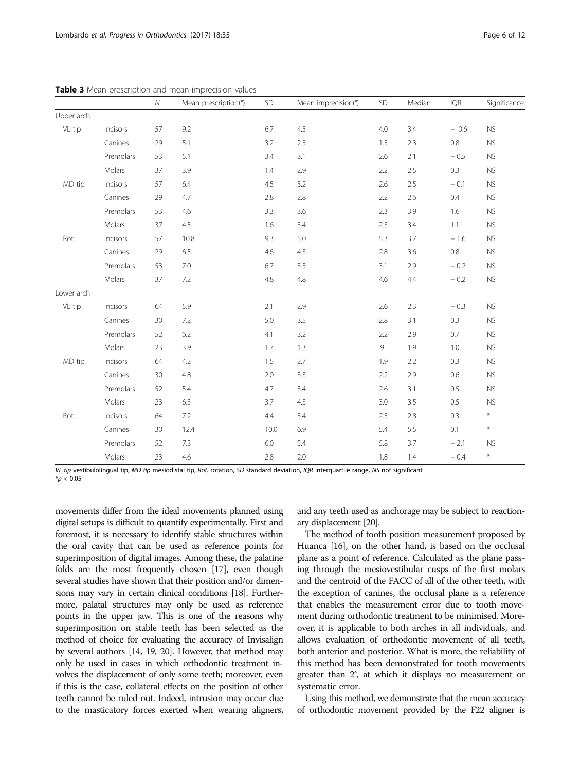|            |           | ${\cal N}$ | Mean prescription(°) | SD   | Mean imprecision(°) | SD         | Median  | IQR     | Significance. |
|------------|-----------|------------|----------------------|------|---------------------|------------|---------|---------|---------------|
| Upper arch |           |            |                      |      |                     |            |         |         |               |
| VL tip     | Incisors  | 57         | 9.2                  | 6.7  | 4.5                 | 4.0        | 3.4     | $-0.6$  | <b>NS</b>     |
|            | Canines   | 29         | 5.1                  | 3.2  | 2.5                 | 1.5        | 2.3     | $0.8\,$ | ${\sf NS}$    |
|            | Premolars | 53         | 5.1                  | 3.4  | 3.1                 | 2.6        | 2.1     | $-0.5$  | <b>NS</b>     |
|            | Molars    | 37         | 3.9                  | 1.4  | 2.9                 | 2.2        | 2.5     | 0.3     | <b>NS</b>     |
| MD tip     | Incisors  | 57         | 6.4                  | 4.5  | 3.2                 | 2.6        | 2.5     | $-0.1$  | <b>NS</b>     |
|            | Canines   | 29         | 4.7                  | 2.8  | 2.8                 | 2.2        | $2.6\,$ | 0.4     | ${\sf NS}$    |
|            | Premolars | 53         | 4.6                  | 3.3  | 3.6                 | 2.3        | 3.9     | 1.6     | ${\sf NS}$    |
|            | Molars    | 37         | 4.5                  | 1.6  | 3.4                 | 2.3        | 3.4     | $1.1\,$ | <b>NS</b>     |
| Rot.       | Incisors  | 57         | 10.8                 | 9.3  | 5.0                 | 5.3        | 3.7     | $-1.6$  | <b>NS</b>     |
|            | Canines   | 29         | 6.5                  | 4.6  | 4.3                 | 2.8        | 3.6     | $0.8\,$ | <b>NS</b>     |
|            | Premolars | 53         | 7.0                  | 6.7  | 3.5                 | 3.1        | 2.9     | $-0.2$  | <b>NS</b>     |
|            | Molars    | 37         | 7.2                  | 4.8  | $4.8\,$             | 4.6        | 4.4     | $-0.2$  | ${\sf NS}$    |
| Lower arch |           |            |                      |      |                     |            |         |         |               |
| VL tip     | Incisors  | 64         | 5.9                  | 2.1  | 2.9                 | 2.6        | 2.3     | $-0.3$  | <b>NS</b>     |
|            | Canines   | 30         | 7.2                  | 5.0  | 3.5                 | 2.8        | 3.1     | 0.3     | ${\sf NS}$    |
|            | Premolars | 52         | $6.2\,$              | 4.1  | 3.2                 | 2.2        | 2.9     | 0.7     | <b>NS</b>     |
|            | Molars    | 23         | 3.9                  | 1.7  | 1.3                 | $\cdot$ 9. | 1.9     | 1.0     | ${\sf NS}$    |
| MD tip     | Incisors  | 64         | 4.2                  | 1.5  | 2.7                 | 1.9        | 2.2     | 0.3     | ${\sf NS}$    |
|            | Canines   | 30         | 4.8                  | 2.0  | 3.3                 | 2.2        | 2.9     | 0.6     | <b>NS</b>     |
|            | Premolars | 52         | 5.4                  | 4.7  | 3.4                 | 2.6        | 3.1     | 0.5     | <b>NS</b>     |
|            | Molars    | 23         | 6.3                  | 3.7  | 4.3                 | 3.0        | 3.5     | $0.5\,$ | <b>NS</b>     |
| Rot.       | Incisors  | 64         | 7.2                  | 4.4  | 3.4                 | 2.5        | 2.8     | 0.3     | $\ast$        |
|            | Canines   | 30         | 12.4                 | 10.0 | 6.9                 | 5.4        | 5.5     | 0.1     | $\ast$        |
|            | Premolars | 52         | 7.3                  | 6.0  | 5.4                 | 5.8        | 3.7     | $-2.1$  | <b>NS</b>     |
|            | Molars    | 23         | 4.6                  | 2.8  | 2.0                 | 1.8        | 1.4     | $-0.4$  | $\ast$        |

<span id="page-5-0"></span>Table 3 Mean prescription and mean imprecision values

VL tip vestibulolingual tip, MD tip mesiodistal tip, Rot. rotation, SD standard deviation, IQR interquartile range, NS not significant  $*_{p}$  < 0.05

movements differ from the ideal movements planned using digital setups is difficult to quantify experimentally. First and foremost, it is necessary to identify stable structures within the oral cavity that can be used as reference points for superimposition of digital images. Among these, the palatine folds are the most frequently chosen [\[17](#page-11-0)], even though several studies have shown that their position and/or dimensions may vary in certain clinical conditions [\[18](#page-11-0)]. Furthermore, palatal structures may only be used as reference points in the upper jaw. This is one of the reasons why superimposition on stable teeth has been selected as the method of choice for evaluating the accuracy of Invisalign by several authors [[14, 19, 20\]](#page-11-0). However, that method may only be used in cases in which orthodontic treatment involves the displacement of only some teeth; moreover, even if this is the case, collateral effects on the position of other teeth cannot be ruled out. Indeed, intrusion may occur due to the masticatory forces exerted when wearing aligners,

and any teeth used as anchorage may be subject to reactionary displacement [\[20\]](#page-11-0).

The method of tooth position measurement proposed by Huanca [\[16](#page-11-0)], on the other hand, is based on the occlusal plane as a point of reference. Calculated as the plane passing through the mesiovestibular cusps of the first molars and the centroid of the FACC of all of the other teeth, with the exception of canines, the occlusal plane is a reference that enables the measurement error due to tooth movement during orthodontic treatment to be minimised. Moreover, it is applicable to both arches in all individuals, and allows evaluation of orthodontic movement of all teeth, both anterior and posterior. What is more, the reliability of this method has been demonstrated for tooth movements greater than 2°, at which it displays no measurement or systematic error.

Using this method, we demonstrate that the mean accuracy of orthodontic movement provided by the F22 aligner is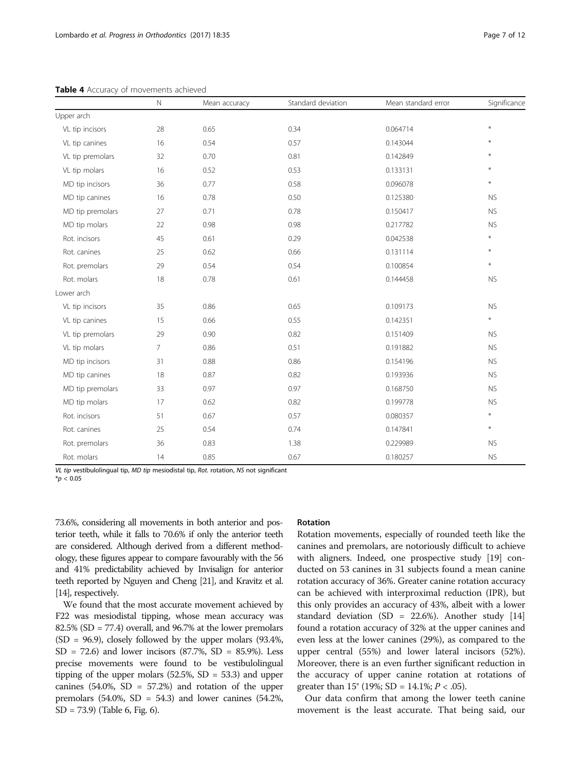|                  | $\hbox{N}$ | Mean accuracy | Standard deviation | Mean standard error | Significance     |
|------------------|------------|---------------|--------------------|---------------------|------------------|
| Upper arch       |            |               |                    |                     |                  |
| VL tip incisors  | 28         | 0.65          | 0.34               | 0.064714            | $\ast$           |
| VL tip canines   | 16         | 0.54          | 0.57               | 0.143044            | ₩                |
| VL tip premolars | 32         | 0.70          | 0.81               | 0.142849            | $\divideontimes$ |
| VL tip molars    | 16         | 0.52          | 0.53               | 0.133131            | $\star$          |
| MD tip incisors  | 36         | 0.77          | 0.58               | 0.096078            | $\star$          |
| MD tip canines   | 16         | 0.78          | 0.50               | 0.125380            | <b>NS</b>        |
| MD tip premolars | 27         | 0.71          | 0.78               | 0.150417            | <b>NS</b>        |
| MD tip molars    | 22         | 0.98          | 0.98               | 0.217782            | <b>NS</b>        |
| Rot. incisors    | 45         | 0.61          | 0.29               | 0.042538            | $\ast$           |
| Rot. canines     | 25         | 0.62          | 0.66               | 0.131114            | $\ast$           |
| Rot. premolars   | 29         | 0.54          | 0.54               | 0.100854            | $\ast$           |
| Rot. molars      | 18         | 0.78          | 0.61               | 0.144458            | <b>NS</b>        |
| Lower arch       |            |               |                    |                     |                  |
| VL tip incisors  | 35         | 0.86          | 0.65               | 0.109173            | <b>NS</b>        |
| VL tip canines   | 15         | 0.66          | 0.55               | 0.142351            | $\ast$           |
| VL tip premolars | 29         | 0.90          | 0.82               | 0.151409            | <b>NS</b>        |
| VL tip molars    | 7          | 0.86          | 0.51               | 0.191882            | <b>NS</b>        |
| MD tip incisors  | 31         | 0.88          | 0.86               | 0.154196            | <b>NS</b>        |
| MD tip canines   | 18         | 0.87          | 0.82               | 0.193936            | <b>NS</b>        |
| MD tip premolars | 33         | 0.97          | 0.97               | 0.168750            | <b>NS</b>        |
| MD tip molars    | 17         | 0.62          | 0.82               | 0.199778            | <b>NS</b>        |
| Rot. incisors    | 51         | 0.67          | 0.57               | 0.080357            | $\ast$           |
| Rot. canines     | 25         | 0.54          | 0.74               | 0.147841            | $*$              |
| Rot. premolars   | 36         | 0.83          | 1.38               | 0.229989            | <b>NS</b>        |
| Rot. molars      | 14         | 0.85          | 0.67               | 0.180257            | ${\sf NS}$       |

<span id="page-6-0"></span>Table 4 Accuracy of movements achieved

VL tip vestibulolingual tip, MD tip mesiodistal tip, Rot. rotation, NS not significant

 $*_{p}$  < 0.05

73.6%, considering all movements in both anterior and posterior teeth, while it falls to 70.6% if only the anterior teeth are considered. Although derived from a different methodology, these figures appear to compare favourably with the 56 and 41% predictability achieved by Invisalign for anterior teeth reported by Nguyen and Cheng [[21\]](#page-11-0), and Kravitz et al. [[14\]](#page-11-0), respectively.

We found that the most accurate movement achieved by F22 was mesiodistal tipping, whose mean accuracy was  $82.5\%$  (SD = 77.4) overall, and 96.7% at the lower premolars  $(SD = 96.9)$ , closely followed by the upper molars  $(93.4\%$ ,  $SD = 72.6$ ) and lower incisors (87.7%,  $SD = 85.9$ %). Less precise movements were found to be vestibulolingual tipping of the upper molars  $(52.5\%, SD = 53.3)$  and upper canines  $(54.0\% , SD = 57.2\%)$  and rotation of the upper premolars  $(54.0\% , SD = 54.3)$  and lower canines  $(54.2\% ,$ SD = 73.9) (Table [6,](#page-9-0) Fig. [6](#page-9-0)).

## Rotation

Rotation movements, especially of rounded teeth like the canines and premolars, are notoriously difficult to achieve with aligners. Indeed, one prospective study [\[19\]](#page-11-0) conducted on 53 canines in 31 subjects found a mean canine rotation accuracy of 36%. Greater canine rotation accuracy can be achieved with interproximal reduction (IPR), but this only provides an accuracy of 43%, albeit with a lower standard deviation (SD = 22.6%). Another study  $[14]$  $[14]$  $[14]$ found a rotation accuracy of 32% at the upper canines and even less at the lower canines (29%), as compared to the upper central (55%) and lower lateral incisors (52%). Moreover, there is an even further significant reduction in the accuracy of upper canine rotation at rotations of greater than  $15^{\circ}$  (19%; SD = 14.1%;  $P < .05$ ).

Our data confirm that among the lower teeth canine movement is the least accurate. That being said, our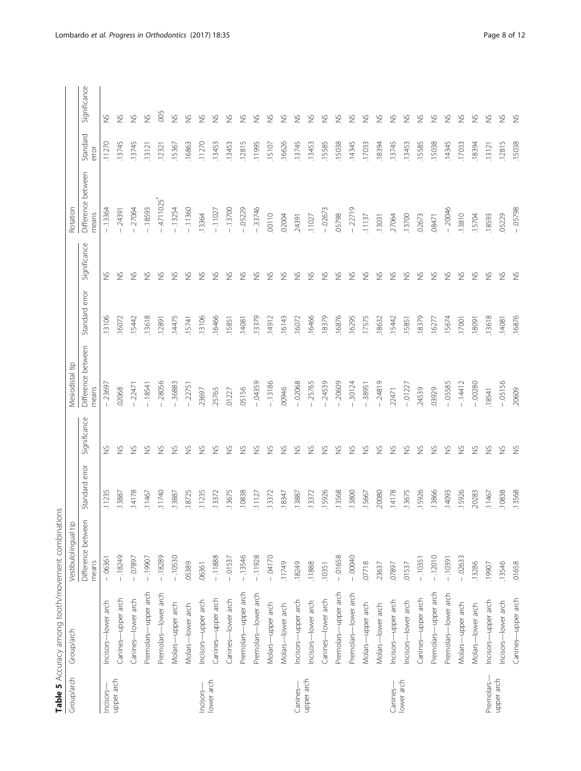<span id="page-7-0"></span>

|            | Table 5 Accuracy among tooth/movement combinations |                             |                |               |                             |                |               |                             |                   |                      |
|------------|----------------------------------------------------|-----------------------------|----------------|---------------|-----------------------------|----------------|---------------|-----------------------------|-------------------|----------------------|
| Group/arch | Group/arch                                         | Vestibulolingual tip        |                |               | Mesiodistal tip             |                |               | Rotation                    |                   |                      |
|            |                                                    | Difference between<br>means | Standard error | Significance  | Difference between<br>means | Standard error | Significance  | Difference between<br>means | Standard<br>error | Significance         |
| Incisors-  | Incisors-lower arch                                | $-06361$                    | .11235         | $\gtrapprox$  | $-23697$                    | .13106         | $\frac{5}{2}$ | $-13364$                    | .11270            | $\gtrapprox$         |
| upper arch | Canines-upper arch                                 | $-18249$                    | .13887         | $\frac{5}{2}$ | 02068                       | .16072         | $\frac{8}{2}$ | $-24391$                    | 13745             | $\gtrapprox$         |
|            | Canines-lower arch                                 | $-07897$                    | 14178          | $\frac{5}{2}$ | $-22471$                    | .15442         | $\frac{8}{2}$ | $-27064$                    | .13745            | $\gtrapprox$         |
|            | Premolars-upper arch                               | $-19907$                    | .11467         | $\frac{5}{2}$ | $-18541$                    | .13618         | $\frac{5}{2}$ | $-18593$                    | .13121            | $\gtrapprox$         |
|            | Premolars-lower arch                               | $-18289$                    | 11740          | $\frac{5}{2}$ | $-28056$                    | .12891         | $\frac{8}{2}$ | $-4711025$                  | .12321            | 005                  |
|            | Molars-upper arch                                  | $-10530$                    | .13887         | $\gtrapprox$  | .36883                      | .14475         | $\frac{8}{2}$ | $-13254$                    | .15367            | $\gtrapprox$         |
|            | Molars-lower arch                                  | .05389                      | .18725         | $\frac{5}{2}$ | $-22751$                    | .15741         | $\gtrapprox$  | $-11360$                    | .16863            | $\gtrapprox$         |
| Incisors-  | Incisors-upper arch                                | .06361                      | .11235         | $\frac{5}{2}$ | .23697                      | .13106         | $\gtrapprox$  | .13364                      | .11270            | $\frac{6}{2}$        |
| lower arch | Canines-upper arch                                 | $-11888$                    | .13372         | $\frac{5}{2}$ | .25765                      | .16466         | $\frac{6}{2}$ | $-11027$                    | .13453            | $\frac{\sqrt{2}}{2}$ |
|            | Canines-lower arch                                 | $-0.01537$                  | .13675         | $\frac{5}{2}$ | .01227                      | .15851         | $\frac{8}{2}$ | $-.13700$                   | .13453            | $\frac{5}{2}$        |
|            | Premolars-upper arch                               | $-13546$                    | .10838         | $\frac{5}{2}$ | .05156                      | .14081         | $\frac{6}{2}$ | $-05229$                    | .12815            | $\gtrapprox$         |
|            | Premolars-lower arch                               | $-11928$                    | .11127         | $\frac{5}{2}$ | $-0.04359$                  | .13379         | $\frac{8}{2}$ | $-33746$                    | .11995            | $\gtrapprox$         |
|            | Molars-upper arch                                  | $-04170$                    | .13372         | $\frac{5}{2}$ | $-13186$                    | .14912         | $\gtrapprox$  | .00110                      | .15107            | $\gtrapprox$         |
|            | Molars-lower arch                                  | .11749                      | .18347         | $\frac{5}{2}$ | 00946                       | .16143         | $\frac{8}{2}$ | .02004                      | .16626            | $\gtrapprox$         |
| Canines-   | Incisors-upper arch                                | .18249                      | .13887         | $\frac{5}{2}$ | $-02068$                    | .16072         | $\gtrapprox$  | .24391                      | .13745            | $\gtrapprox$         |
| upper arch | Incisors-lower arch                                | .11888                      | .13372         | $\frac{5}{2}$ | $-25765$                    | .16466         | $\gtrapprox$  | .11027                      | .13453            | $\frac{5}{2}$        |
|            | Canines-lower arch                                 | .10351                      | .15926         | $\frac{5}{2}$ | .24539                      | .18379         | $\frac{8}{2}$ | $-02673$                    | .15585            | $\gtrapprox$         |
|            | Premolars-upper arch                               | $-01658$                    | .13568         | S             | $-20609$                    | .16876         | $\frac{8}{2}$ | .05798                      | .15038            | $\gtrapprox$         |
|            | Premolars-lower arch                               | $-00040$                    | .13800         | $\frac{5}{2}$ | 30124                       | .16295         | $\frac{6}{2}$ | $-22719$                    | .14345            | $\frac{6}{2}$        |
|            | Molars-upper arch                                  | 07718                       | .15667         | $\frac{5}{2}$ | $-38951$                    | .17575         | $\frac{6}{2}$ | .11137                      | .17033            | $\gtrapprox$         |
|            | Molars-lower arch                                  | .23637                      | 20080          | $\frac{5}{2}$ | $-24819$                    | .18632         | $\frac{8}{2}$ | .13031                      | .18394            | $\gtrapprox$         |
| Canines-   | Incisors-upper arch                                | .07897                      | .14178         | $\frac{5}{2}$ | 22471                       | .15442         | $\frac{6}{2}$ | 27064                       | .13745            | $\gtrapprox$         |
| lower arch | Incisors-lower arch                                | .01537                      | .13675         | $\frac{5}{2}$ | $-01227$                    | .15851         | $\gtrapprox$  | .13700                      | .13453            | $\gtrapprox$         |
|            | Canines-upper arch                                 | $-10351$                    | .15926         | $\frac{5}{2}$ | 24539                       | .18379         | $\gtrapprox$  | .02673                      | .15585            | $\gtrapprox$         |
|            | Premolars-upper arch                               | $-12010$                    | .13866         | $\frac{5}{2}$ | 03929                       | .16277         | $\gtrapprox$  | .08471                      | .15038            | $\gtrapprox$         |
|            | Premolars-lower arch                               | $-10391$                    | .14093         | $\frac{5}{2}$ | $-05585$                    | .15674         | $\gtrapprox$  | $-20046$                    | .14345            | $\gtrapprox$         |
|            | Molars-upper arch                                  | $-02633$                    | .15926         | $\frac{5}{2}$ | $-14412$                    | .17001         | $\gtrapprox$  | .13810                      | .17033            | $\gtrapprox$         |
|            | Molars-lower arch                                  | .13286                      | .20283         | $\frac{5}{2}$ | $-00280$                    | 18091          | $\gtrapprox$  | 15704                       | .18394            | $\gtrapprox$         |
| Premolars- | Incisors-upper arch                                | .19907                      | .11467         | $\gtrapprox$  | .18541                      | .13618         | $\gtrapprox$  | .18593                      | .13121            | $\gtrapprox$         |
| upper arch | -lower arch<br>Incisors-                           | .13546                      | .10838         | $\frac{5}{2}$ | $-05156$                    | .14081         | $\gtrapprox$  | .05229                      | .12815            | $\gtrapprox$         |
|            | Canines-upper arch                                 | .01658                      | .13568         | $\frac{5}{2}$ | 20609                       | .16876         | $\frac{5}{2}$ | $-05798$                    | .15038            | $\frac{5}{2}$        |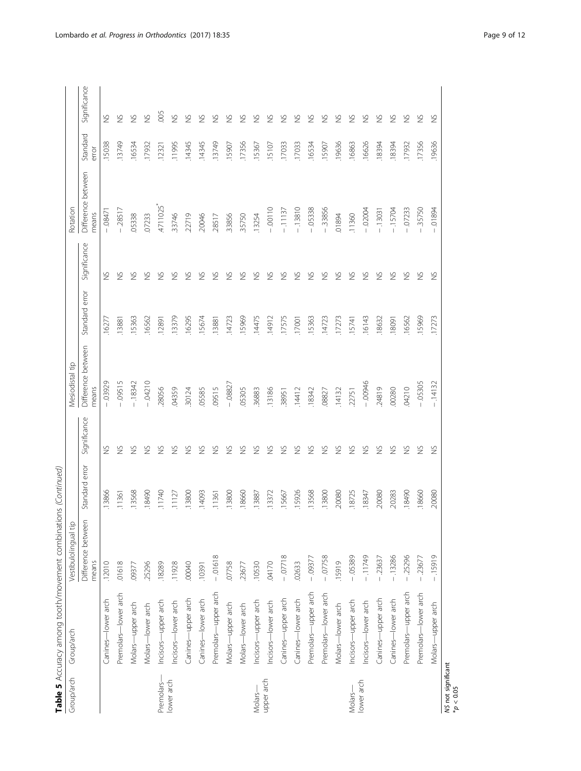| í<br>$-1.1$<br>ţ<br>١                             |
|---------------------------------------------------|
| $\ddot{\phantom{a}}$<br>I<br>$\ddot{\phantom{a}}$ |
|                                                   |
| ð                                                 |
| うりゅう こうこうこう<br>١                                  |
| j                                                 |
| ı                                                 |
| ı<br>I                                            |

| Group/arch          | Group/arch           | Vestibulolingual tip        |                |               | <b>Mesiodistal tip</b>      |                |               | Rotation                    |                   |               |
|---------------------|----------------------|-----------------------------|----------------|---------------|-----------------------------|----------------|---------------|-----------------------------|-------------------|---------------|
|                     |                      |                             |                |               |                             |                |               |                             |                   |               |
|                     |                      | Difference between<br>means | Standard error | Significance  | Difference between<br>means | Standard error | Significance  | Difference between<br>means | Standard<br>error | Significance  |
|                     | Canines-lower arch   | .12010                      | .13866         | $\frac{5}{2}$ | 03929                       | .1627          | $\frac{8}{2}$ | $-08471$                    | 15038             | $\gtrapprox$  |
|                     | Premolars-lower arch | 01618                       | .11361         | $\frac{5}{2}$ | .09515                      | .13881         | $\frac{8}{2}$ | $-28517$                    | 13749             | $\frac{8}{2}$ |
|                     | Molars-upper arch    | .09377                      | 13568          | $\frac{5}{2}$ | $-18342$                    | .15363         | $\frac{5}{2}$ | .05338                      | 16534             | $\frac{8}{2}$ |
|                     | Molars-lower arch    | .25296                      | 18490          | $\frac{5}{2}$ | $-04210$                    | .16562         | $\frac{5}{2}$ | 07233                       | 17932             | $\frac{5}{2}$ |
| Premolars-          | Incisors-upper arch  | .18289                      | 11740          | $\frac{5}{2}$ | 28056                       | .12891         | $\frac{6}{2}$ | 4711025*                    | 12321             | .005          |
| lower arch          | Incisors-lower arch  | .11928                      | 11127          | $\frac{5}{2}$ | 04359                       | .13379         | $\frac{8}{2}$ | .33746                      | 11995             | $\gtrapprox$  |
|                     | Canines-upper arch   | 00040                       | 13800          | S             | 30124                       | .16295         | S             | .22719                      | 14345             | $\gtrapprox$  |
|                     | Canines-lower arch   | .10391                      | .14093         | $\frac{5}{2}$ | .05585                      | 15674          | $\frac{8}{2}$ | 20046                       | 14345             | $\frac{6}{2}$ |
|                     | Premolars-upper arch | $-01618$                    | .11361         | S             | .09515                      | .13881         | S             | 28517                       | 13749             | $\gtrapprox$  |
|                     | Molars-upper arch    | .07758                      | 13800          | $\frac{5}{2}$ | $-0.08827$                  | .14723         | $\frac{8}{2}$ | 33856                       | 15907             | $\frac{8}{2}$ |
|                     | Molars-lower arch    | .23677                      | .18660         | $\frac{5}{2}$ | .05305                      | .15969         | $\frac{8}{2}$ | 35750                       | .17356            | $\frac{8}{2}$ |
| Molar <sub>s-</sub> | Incisors-upper arch  | .10530                      | 13887          | $\frac{5}{2}$ | .36883                      | .14475         | S             | .13254                      | 15367             | $\gtrapprox$  |
| upper arch          | Incisors-lower arch  | 04170                       | 13372          | $\frac{5}{2}$ | 13186                       | .14912         | $\frac{8}{2}$ | $-00110$                    | 15107             | $\frac{8}{2}$ |
|                     | Canines-upper arch   | $-07718$                    | 15667          | $\frac{5}{2}$ | 38951                       | .17575         | $\frac{8}{2}$ | $-11137$                    | 17033             | $\frac{8}{2}$ |
|                     | Canines-lower arch   | .02633                      | 15926          | $\frac{5}{2}$ | .14412                      | 17001          | $\frac{6}{2}$ | $-13810$                    | 17033             | $\frac{6}{2}$ |
|                     | Premolars-upper arch | $-0.09377$                  | .13568         | $\frac{5}{2}$ | 18342                       | .15363         | $\frac{8}{2}$ | $-05338$                    | 16534             | $\frac{8}{2}$ |
|                     | Premolars-lower arch | $-07758$                    | 13800          | $\frac{5}{2}$ | .08827                      | .14723         | S             | $-33856$                    | .15907            | $\gtrapprox$  |
|                     | Molars-lower arch    | .15919                      | 20080          | $\frac{5}{2}$ | .14132                      | .17273         | $\frac{5}{2}$ | 01894                       | .19636            | $\frac{8}{2}$ |
| Molar <sub>s-</sub> | Incisors-upper arch  | $-05389$                    | 18725          | $\frac{5}{2}$ | .22751                      | .15741         | $\gtrapprox$  | .11360                      | .16863            | $\gtrapprox$  |
| lower arch          | Incisors-lower arch  | $-11749$                    | .18347         | $\frac{5}{2}$ | $-00946$                    | .16143         | $\gtrapprox$  | $-02004$                    | .16626            | $\gtrapprox$  |
|                     | Canines-upper arch   | $-23637$                    | 20080          | $\frac{5}{2}$ | 24819                       | .18632         | $\frac{5}{2}$ | $-13031$                    | 18394             | $\gtrapprox$  |
|                     | Canines-lower arch   | $-13286$                    | 20283          | $\frac{5}{2}$ | .00280                      | 18091          | $\frac{8}{2}$ | $-15704$                    | 18394             | $\gtrapprox$  |
|                     | Premolars-upper arch | $-25296$                    | .18490         | $\frac{5}{2}$ | 04210                       | .16562         | $\frac{8}{2}$ | $-07233$                    | .17932            | $\gtrapprox$  |
|                     | Premolars-lower arch | $-23677$                    | .18660         | $\frac{5}{2}$ | $-05305$                    | .15969         | $\frac{5}{2}$ | 35750                       | .17356            | $\frac{8}{2}$ |
|                     | Molars-upper arch    | $-15919$                    | 20080          | $\gtrapprox$  | $-14132$                    | .17273         | $\gtrapprox$  | 01894<br>$\mathbf{I}$       | .19636            | S             |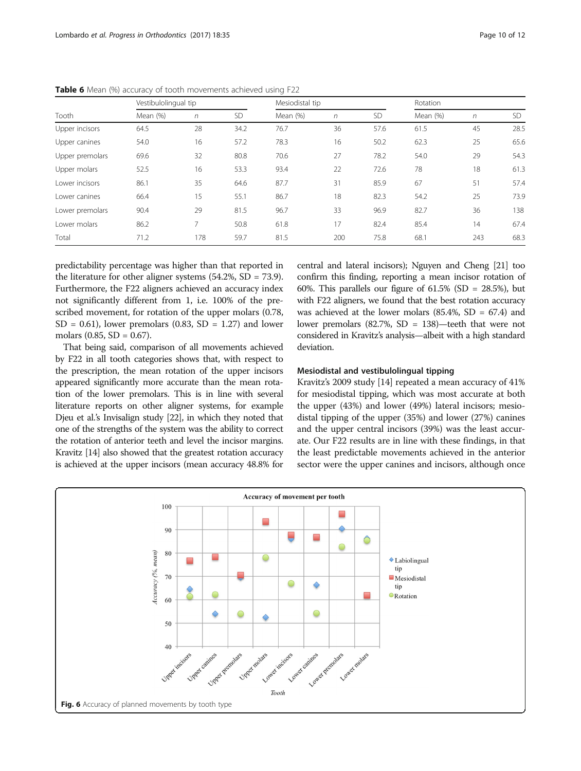|                 | Vestibulolingual tip |            |           | Mesiodistal tip |            |           | Rotation |            |      |
|-----------------|----------------------|------------|-----------|-----------------|------------|-----------|----------|------------|------|
| Tooth           | Mean (%)             | $\sqrt{n}$ | <b>SD</b> | Mean (%)        | $\sqrt{n}$ | <b>SD</b> | Mean (%) | $\sqrt{n}$ | SD.  |
| Upper incisors  | 64.5                 | 28         | 34.2      | 76.7            | 36         | 57.6      | 61.5     | 45         | 28.5 |
| Upper canines   | 54.0                 | 16         | 57.2      | 78.3            | 16         | 50.2      | 62.3     | 25         | 65.6 |
| Upper premolars | 69.6                 | 32         | 80.8      | 70.6            | 27         | 78.2      | 54.0     | 29         | 54.3 |
| Upper molars    | 52.5                 | 16         | 53.3      | 93.4            | 22         | 72.6      | 78       | 18         | 61.3 |
| Lower incisors  | 86.1                 | 35         | 64.6      | 87.7            | 31         | 85.9      | 67       | 51         | 57.4 |
| Lower canines   | 66.4                 | 15         | 55.1      | 86.7            | 18         | 82.3      | 54.2     | 25         | 73.9 |
| Lower premolars | 90.4                 | 29         | 81.5      | 96.7            | 33         | 96.9      | 82.7     | 36         | 138  |
| Lower molars    | 86.2                 | 7          | 50.8      | 61.8            | 17         | 82.4      | 85.4     | 14         | 67.4 |
| Total           | 71.2                 | 178        | 59.7      | 81.5            | 200        | 75.8      | 68.1     | 243        | 68.3 |

<span id="page-9-0"></span>Table 6 Mean (%) accuracy of tooth movements achieved using F22

predictability percentage was higher than that reported in the literature for other aligner systems (54.2%, SD = 73.9). Furthermore, the F22 aligners achieved an accuracy index not significantly different from 1, i.e. 100% of the prescribed movement, for rotation of the upper molars (0.78,  $SD = 0.61$ , lower premolars (0.83,  $SD = 1.27$ ) and lower molars  $(0.85, SD = 0.67)$ .

That being said, comparison of all movements achieved by F22 in all tooth categories shows that, with respect to the prescription, the mean rotation of the upper incisors appeared significantly more accurate than the mean rotation of the lower premolars. This is in line with several literature reports on other aligner systems, for example Djeu et al.'s Invisalign study [\[22](#page-11-0)], in which they noted that one of the strengths of the system was the ability to correct the rotation of anterior teeth and level the incisor margins. Kravitz [\[14\]](#page-11-0) also showed that the greatest rotation accuracy is achieved at the upper incisors (mean accuracy 48.8% for central and lateral incisors); Nguyen and Cheng [[21](#page-11-0)] too confirm this finding, reporting a mean incisor rotation of 60%. This parallels our figure of  $61.5\%$  (SD = 28.5%), but with F22 aligners, we found that the best rotation accuracy was achieved at the lower molars  $(85.4\%, SD = 67.4)$  and lower premolars (82.7%, SD = 138)—teeth that were not considered in Kravitz's analysis—albeit with a high standard deviation.

#### Mesiodistal and vestibulolingual tipping

Kravitz's 2009 study [\[14\]](#page-11-0) repeated a mean accuracy of 41% for mesiodistal tipping, which was most accurate at both the upper (43%) and lower (49%) lateral incisors; mesiodistal tipping of the upper (35%) and lower (27%) canines and the upper central incisors (39%) was the least accurate. Our F22 results are in line with these findings, in that the least predictable movements achieved in the anterior sector were the upper canines and incisors, although once

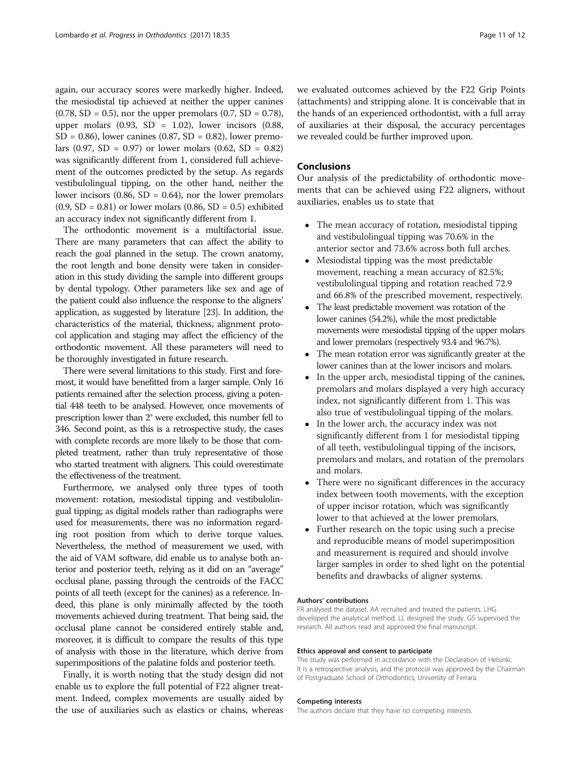again, our accuracy scores were markedly higher. Indeed, the mesiodistal tip achieved at neither the upper canines  $(0.78, SD = 0.5)$ , nor the upper premolars  $(0.7, SD = 0.78)$ , upper molars  $(0.93, SD = 1.02)$ , lower incisors  $(0.88,$  $SD = 0.86$ ), lower canines (0.87,  $SD = 0.82$ ), lower premolars  $(0.97, SD = 0.97)$  or lower molars  $(0.62, SD = 0.82)$ was significantly different from 1, considered full achievement of the outcomes predicted by the setup. As regards vestibulolingual tipping, on the other hand, neither the lower incisors  $(0.86, SD = 0.64)$ , nor the lower premolars  $(0.9, SD = 0.81)$  or lower molars  $(0.86, SD = 0.5)$  exhibited an accuracy index not significantly different from 1.

The orthodontic movement is a multifactorial issue. There are many parameters that can affect the ability to reach the goal planned in the setup. The crown anatomy, the root length and bone density were taken in consideration in this study dividing the sample into different groups by dental typology. Other parameters like sex and age of the patient could also influence the response to the aligners' application, as suggested by literature [\[23\]](#page-11-0). In addition, the characteristics of the material, thickness, alignment protocol application and staging may affect the efficiency of the orthodontic movement. All these parameters will need to be thoroughly investigated in future research.

There were several limitations to this study. First and foremost, it would have benefitted from a larger sample. Only 16 patients remained after the selection process, giving a potential 448 teeth to be analysed. However, once movements of prescription lower than 2° were excluded, this number fell to 346. Second point, as this is a retrospective study, the cases with complete records are more likely to be those that completed treatment, rather than truly representative of those who started treatment with aligners. This could overestimate the effectiveness of the treatment.

Furthermore, we analysed only three types of tooth movement: rotation, mesiodistal tipping and vestibulolingual tipping; as digital models rather than radiographs were used for measurements, there was no information regarding root position from which to derive torque values. Nevertheless, the method of measurement we used, with the aid of VAM software, did enable us to analyse both anterior and posterior teeth, relying as it did on an "average" occlusal plane, passing through the centroids of the FACC points of all teeth (except for the canines) as a reference. Indeed, this plane is only minimally affected by the tooth movements achieved during treatment. That being said, the occlusal plane cannot be considered entirely stable and, moreover, it is difficult to compare the results of this type of analysis with those in the literature, which derive from superimpositions of the palatine folds and posterior teeth.

Finally, it is worth noting that the study design did not enable us to explore the full potential of F22 aligner treatment. Indeed, complex movements are usually aided by the use of auxiliaries such as elastics or chains, whereas we evaluated outcomes achieved by the F22 Grip Points (attachments) and stripping alone. It is conceivable that in the hands of an experienced orthodontist, with a full array of auxiliaries at their disposal, the accuracy percentages we revealed could be further improved upon.

## Conclusions

Our analysis of the predictability of orthodontic movements that can be achieved using F22 aligners, without auxiliaries, enables us to state that

- The mean accuracy of rotation, mesiodistal tipping and vestibulolingual tipping was 70.6% in the anterior sector and 73.6% across both full arches.
- Mesiodistal tipping was the most predictable movement, reaching a mean accuracy of 82.5%; vestibulolingual tipping and rotation reached 72.9 and 66.8% of the prescribed movement, respectively.
- The least predictable movement was rotation of the lower canines (54.2%), while the most predictable movements were mesiodistal tipping of the upper molars and lower premolars (respectively 93.4 and 96.7%).
- The mean rotation error was significantly greater at the lower canines than at the lower incisors and molars.
- In the upper arch, mesiodistal tipping of the canines, premolars and molars displayed a very high accuracy index, not significantly different from 1. This was also true of vestibulolingual tipping of the molars.
- In the lower arch, the accuracy index was not significantly different from 1 for mesiodistal tipping of all teeth, vestibulolingual tipping of the incisors, premolars and molars, and rotation of the premolars and molars.
- There were no significant differences in the accuracy index between tooth movements, with the exception of upper incisor rotation, which was significantly lower to that achieved at the lower premolars.
- Further research on the topic using such a precise and reproducible means of model superimposition and measurement is required and should involve larger samples in order to shed light on the potential benefits and drawbacks of aligner systems.

#### Authors' contributions

FR analysed the dataset. AA recruited and treated the patients. LHG developed the analytical method. LL designed the study. GS supervised the research. All authors read and approved the final manuscript.

#### Ethics approval and consent to participate

The study was performed in accordance with the Declaration of Helsinki. It is a retrospective analysis, and the protocol was approved by the Chairman of Postgraduate School of Orthodontics, University of Ferrara.

#### Competing interests

The authors declare that they have no competing interests.